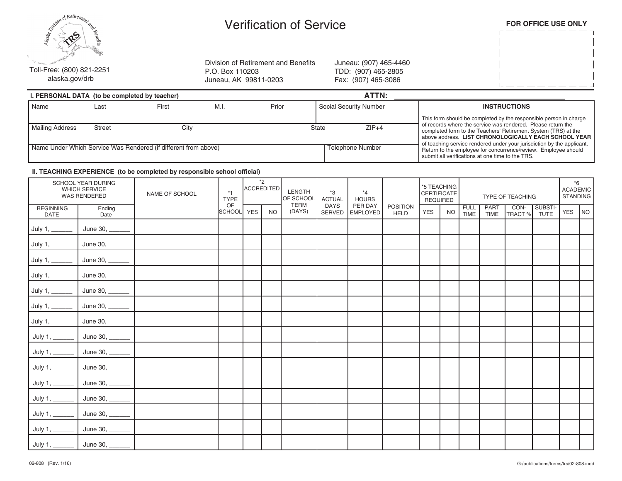| Simul Retirement and                        |
|---------------------------------------------|
| Toll-Free: (800) 821-2251<br>alaska.gov/drb |

## Verification of Service

|  | FOR OFFICE USE ONLY |  |  |
|--|---------------------|--|--|
|--|---------------------|--|--|

 $\lfloor$ 

Division of Retirement and Benefits P.O. Box 110203 Juneau, AK 99811-0203

Juneau: (907) 465-4460 TDD: (907) 465-2805 Fax: (907) 465-3086

|                        | I. PERSONAL DATA (to be completed by teacher)                   |       |      |                                                                                                                                                                                                  | ATTN:                  |                                                                                                                                   |
|------------------------|-----------------------------------------------------------------|-------|------|--------------------------------------------------------------------------------------------------------------------------------------------------------------------------------------------------|------------------------|-----------------------------------------------------------------------------------------------------------------------------------|
| l Name                 | Last                                                            | First | M.I. | Prior                                                                                                                                                                                            | Social Security Number | <b>INSTRUCTIONS</b>                                                                                                               |
| <b>Mailing Address</b> | <b>Street</b>                                                   | City  |      |                                                                                                                                                                                                  | $ZIP+4$<br>State       | This form should be completed by the responsible person in charge<br>of records where the service was rendered. Please return the |
|                        |                                                                 |       |      | completed form to the Teachers' Retirement System (TRS) at the<br>above address. LIST CHRONOLOGICALLY EACH SCHOOL YEAR<br>of teaching service rendered under your jurisdiction by the applicant. |                        |                                                                                                                                   |
|                        | Name Under Which Service Was Rendered (if different from above) |       |      |                                                                                                                                                                                                  | Telephone Number       | Return to the employee for concurrence/review. Employee should<br>submit all verifications at one time to the TRS.                |

## **II. TEACHING EXPERIENCE (to be completed by responsible school official)**

|                                  | SCHOOL YEAR DURING<br><b>WHICH SERVICE</b><br>WAS RENDERED | NAME OF SCHOOL | $*1$<br><b>TYPE</b> | ACCREDITED | $*_{2}$   | LENGTH<br>OF SCHOOL<br><b>TERM</b> | $*3$<br><b>ACTUAL</b>        | $*_{4}$<br><b>HOURS</b><br>PER DAY<br><b>EMPLOYED</b> | <b>POSITION</b><br><b>HELD</b> | *5 TEACHING<br><b>CERTIFICATE</b><br><b>REQUIRED</b> |           | TYPE OF TEACHING    |              |                |                        | $*6$<br><b>ACADEMIC</b><br><b>STANDING</b> |    |
|----------------------------------|------------------------------------------------------------|----------------|---------------------|------------|-----------|------------------------------------|------------------------------|-------------------------------------------------------|--------------------------------|------------------------------------------------------|-----------|---------------------|--------------|----------------|------------------------|--------------------------------------------|----|
| <b>BEGINNING</b><br><b>DATE</b>  | Ending<br>Date                                             |                | OF<br>SCHOOL        | <b>YES</b> | <b>NO</b> | (DAYS)                             | <b>DAYS</b><br><b>SERVED</b> |                                                       |                                | <b>YES</b>                                           | <b>NO</b> | <b>FULL</b><br>TIME | PART<br>TIME | CON-<br>TRACT% | SUBSTI-<br><b>TUTE</b> | YES                                        | NO |
| July 1, $\overline{\phantom{a}}$ | June 30,                                                   |                |                     |            |           |                                    |                              |                                                       |                                |                                                      |           |                     |              |                |                        |                                            |    |
| July 1, $\_$                     | June 30,                                                   |                |                     |            |           |                                    |                              |                                                       |                                |                                                      |           |                     |              |                |                        |                                            |    |
| July 1, $_{-}$                   | June 30,                                                   |                |                     |            |           |                                    |                              |                                                       |                                |                                                      |           |                     |              |                |                        |                                            |    |
| July 1, $\overline{\phantom{a}}$ | June 30,                                                   |                |                     |            |           |                                    |                              |                                                       |                                |                                                      |           |                     |              |                |                        |                                            |    |
| July 1, $\_\_$                   | June 30,                                                   |                |                     |            |           |                                    |                              |                                                       |                                |                                                      |           |                     |              |                |                        |                                            |    |
| July 1, $\_\_$                   | June 30, __                                                |                |                     |            |           |                                    |                              |                                                       |                                |                                                      |           |                     |              |                |                        |                                            |    |
| July 1, $\_\_$                   | June 30, _                                                 |                |                     |            |           |                                    |                              |                                                       |                                |                                                      |           |                     |              |                |                        |                                            |    |
| July 1, $_{-}$                   | June 30, _                                                 |                |                     |            |           |                                    |                              |                                                       |                                |                                                      |           |                     |              |                |                        |                                            |    |
| July 1,                          | June 30,                                                   |                |                     |            |           |                                    |                              |                                                       |                                |                                                      |           |                     |              |                |                        |                                            |    |
| July 1,                          | June 30,                                                   |                |                     |            |           |                                    |                              |                                                       |                                |                                                      |           |                     |              |                |                        |                                            |    |
| July 1, $_{-}$                   | June 30, _                                                 |                |                     |            |           |                                    |                              |                                                       |                                |                                                      |           |                     |              |                |                        |                                            |    |
| July 1, $_{-}$                   | June 30,                                                   |                |                     |            |           |                                    |                              |                                                       |                                |                                                      |           |                     |              |                |                        |                                            |    |
| July 1, $\_$                     | June 30, _____                                             |                |                     |            |           |                                    |                              |                                                       |                                |                                                      |           |                     |              |                |                        |                                            |    |
| July 1, $_{-}$                   | June 30, ______                                            |                |                     |            |           |                                    |                              |                                                       |                                |                                                      |           |                     |              |                |                        |                                            |    |
| July 1, $_{-}$                   | June 30, _____                                             |                |                     |            |           |                                    |                              |                                                       |                                |                                                      |           |                     |              |                |                        |                                            |    |